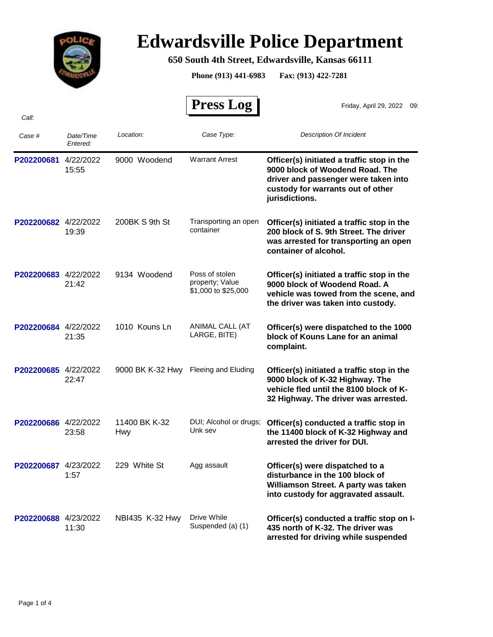

## **Edwardsville Police Department**

**650 South 4th Street, Edwardsville, Kansas 66111**

**Phone (913) 441-6983 Fax: (913) 422-7281**

 $\overline{r}$ 

|                      |                       |                      | <b>Press Log</b>                                         | Friday, April 29, 2022 09:                                                                                                                                                   |
|----------------------|-----------------------|----------------------|----------------------------------------------------------|------------------------------------------------------------------------------------------------------------------------------------------------------------------------------|
| Call:                |                       |                      |                                                          |                                                                                                                                                                              |
| Case #               | Date/Time<br>Entered: | Location:            | Case Type:                                               | <b>Description Of Incident</b>                                                                                                                                               |
| P202200681           | 4/22/2022<br>15:55    | 9000 Woodend         | <b>Warrant Arrest</b>                                    | Officer(s) initiated a traffic stop in the<br>9000 block of Woodend Road. The<br>driver and passenger were taken into<br>custody for warrants out of other<br>jurisdictions. |
| P202200682 4/22/2022 | 19:39                 | 200BK S 9th St       | Transporting an open<br>container                        | Officer(s) initiated a traffic stop in the<br>200 block of S. 9th Street. The driver<br>was arrested for transporting an open<br>container of alcohol.                       |
| P202200683 4/22/2022 | 21:42                 | 9134 Woodend         | Poss of stolen<br>property; Value<br>\$1,000 to \$25,000 | Officer(s) initiated a traffic stop in the<br>9000 block of Woodend Road. A<br>vehicle was towed from the scene, and<br>the driver was taken into custody.                   |
| P202200684           | 4/22/2022<br>21:35    | 1010 Kouns Ln        | ANIMAL CALL (AT<br>LARGE, BITE)                          | Officer(s) were dispatched to the 1000<br>block of Kouns Lane for an animal<br>complaint.                                                                                    |
| P202200685 4/22/2022 | 22:47                 | 9000 BK K-32 Hwy     | Fleeing and Eluding                                      | Officer(s) initiated a traffic stop in the<br>9000 block of K-32 Highway. The<br>vehicle fled until the 8100 block of K-<br>32 Highway. The driver was arrested.             |
| P202200686           | 4/22/2022<br>23:58    | 11400 BK K-32<br>Hwy | DUI; Alcohol or drugs;<br>Unk sev                        | Officer(s) conducted a traffic stop in<br>the 11400 block of K-32 Highway and<br>arrested the driver for DUI.                                                                |
| P202200687 4/23/2022 | 1:57                  | 229 White St         | Agg assault                                              | Officer(s) were dispatched to a<br>disturbance in the 100 block of<br>Williamson Street. A party was taken<br>into custody for aggravated assault.                           |
| P202200688 4/23/2022 | 11:30                 | NBI435 K-32 Hwy      | Drive While<br>Suspended (a) (1)                         | Officer(s) conducted a traffic stop on I-<br>435 north of K-32. The driver was<br>arrested for driving while suspended                                                       |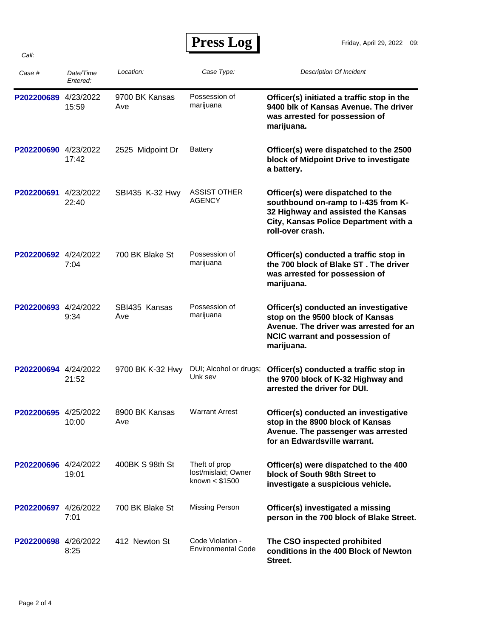| <b>Press Log</b> |  |
|------------------|--|
|------------------|--|

| Case #               | Date/Time<br>Entered: | Location:             | Case Type:                                             | <b>Description Of Incident</b>                                                                                                                                              |
|----------------------|-----------------------|-----------------------|--------------------------------------------------------|-----------------------------------------------------------------------------------------------------------------------------------------------------------------------------|
| P202200689           | 4/23/2022<br>15:59    | 9700 BK Kansas<br>Ave | Possession of<br>marijuana                             | Officer(s) initiated a traffic stop in the<br>9400 blk of Kansas Avenue. The driver<br>was arrested for possession of<br>marijuana.                                         |
| P202200690 4/23/2022 | 17:42                 | 2525 Midpoint Dr      | Battery                                                | Officer(s) were dispatched to the 2500<br>block of Midpoint Drive to investigate<br>a battery.                                                                              |
| P202200691           | 4/23/2022<br>22:40    | SBI435 K-32 Hwy       | <b>ASSIST OTHER</b><br>AGENCY                          | Officer(s) were dispatched to the<br>southbound on-ramp to I-435 from K-<br>32 Highway and assisted the Kansas<br>City, Kansas Police Department with a<br>roll-over crash. |
| P202200692 4/24/2022 | 7:04                  | 700 BK Blake St       | Possession of<br>marijuana                             | Officer(s) conducted a traffic stop in<br>the 700 block of Blake ST. The driver<br>was arrested for possession of<br>marijuana.                                             |
| P202200693 4/24/2022 | 9:34                  | SBI435 Kansas<br>Ave  | Possession of<br>marijuana                             | Officer(s) conducted an investigative<br>stop on the 9500 block of Kansas<br>Avenue. The driver was arrested for an<br>NCIC warrant and possession of<br>marijuana.         |
| P202200694 4/24/2022 | 21:52                 | 9700 BK K-32 Hwy      | DUI; Alcohol or drugs;<br>Unk sev                      | Officer(s) conducted a traffic stop in<br>the 9700 block of K-32 Highway and<br>arrested the driver for DUI.                                                                |
| P202200695 4/25/2022 | 10:00                 | 8900 BK Kansas<br>Ave | <b>Warrant Arrest</b>                                  | Officer(s) conducted an investigative<br>stop in the 8900 block of Kansas<br>Avenue. The passenger was arrested<br>for an Edwardsville warrant.                             |
| P202200696 4/24/2022 | 19:01                 | 400BK S 98th St       | Theft of prop<br>lost/mislaid; Owner<br>known < \$1500 | Officer(s) were dispatched to the 400<br>block of South 98th Street to<br>investigate a suspicious vehicle.                                                                 |
| P202200697 4/26/2022 | 7:01                  | 700 BK Blake St       | <b>Missing Person</b>                                  | Officer(s) investigated a missing<br>person in the 700 block of Blake Street.                                                                                               |
| P202200698 4/26/2022 | 8:25                  | 412 Newton St         | Code Violation -<br><b>Environmental Code</b>          | The CSO inspected prohibited<br>conditions in the 400 Block of Newton<br>Street.                                                                                            |

*Call:*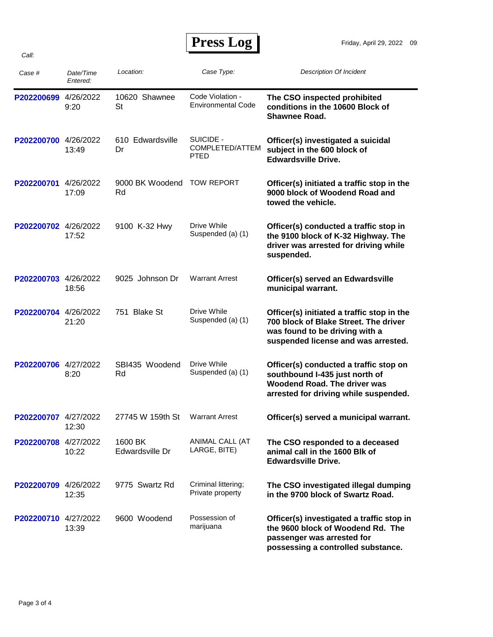| <b>Press Log</b> |  |
|------------------|--|
|------------------|--|

| Case #               | Date/Time<br>Entered: | Location:                  | Case Type:                                    | <b>Description Of Incident</b>                                                                                                                               |
|----------------------|-----------------------|----------------------------|-----------------------------------------------|--------------------------------------------------------------------------------------------------------------------------------------------------------------|
| P202200699           | 4/26/2022<br>9:20     | 10620 Shawnee<br><b>St</b> | Code Violation -<br><b>Environmental Code</b> | The CSO inspected prohibited<br>conditions in the 10600 Block of<br><b>Shawnee Road.</b>                                                                     |
| P202200700 4/26/2022 | 13:49                 | 610 Edwardsville<br>Dr     | SUICIDE -<br>COMPLETED/ATTEM<br><b>PTED</b>   | Officer(s) investigated a suicidal<br>subject in the 600 block of<br><b>Edwardsville Drive.</b>                                                              |
| P202200701           | 4/26/2022<br>17:09    | 9000 BK Woodend<br>Rd      | <b>TOW REPORT</b>                             | Officer(s) initiated a traffic stop in the<br>9000 block of Woodend Road and<br>towed the vehicle.                                                           |
| P202200702 4/26/2022 | 17:52                 | 9100 K-32 Hwy              | Drive While<br>Suspended (a) (1)              | Officer(s) conducted a traffic stop in<br>the 9100 block of K-32 Highway. The<br>driver was arrested for driving while<br>suspended.                         |
| P202200703 4/26/2022 | 18:56                 | 9025 Johnson Dr            | <b>Warrant Arrest</b>                         | Officer(s) served an Edwardsville<br>municipal warrant.                                                                                                      |
| P202200704 4/26/2022 | 21:20                 | 751 Blake St               | Drive While<br>Suspended (a) (1)              | Officer(s) initiated a traffic stop in the<br>700 block of Blake Street. The driver<br>was found to be driving with a<br>suspended license and was arrested. |
| P202200706 4/27/2022 | 8:20                  | SBI435 Woodend<br>Rd       | Drive While<br>Suspended (a) (1)              | Officer(s) conducted a traffic stop on<br>southbound I-435 just north of<br>Woodend Road. The driver was<br>arrested for driving while suspended.            |
| P202200707 4/27/2022 | 12:30                 | 27745 W 159th St           | <b>Warrant Arrest</b>                         | Officer(s) served a municipal warrant.                                                                                                                       |
| P202200708 4/27/2022 | 10:22                 | 1600 BK<br>Edwardsville Dr | ANIMAL CALL (AT<br>LARGE, BITE)               | The CSO responded to a deceased<br>animal call in the 1600 Blk of<br><b>Edwardsville Drive.</b>                                                              |
| P202200709 4/26/2022 | 12:35                 | 9775 Swartz Rd             | Criminal littering;<br>Private property       | The CSO investigated illegal dumping<br>in the 9700 block of Swartz Road.                                                                                    |
| P202200710 4/27/2022 | 13:39                 | 9600 Woodend               | Possession of<br>marijuana                    | Officer(s) investigated a traffic stop in<br>the 9600 block of Woodend Rd. The<br>passenger was arrested for<br>possessing a controlled substance.           |

*Call:*